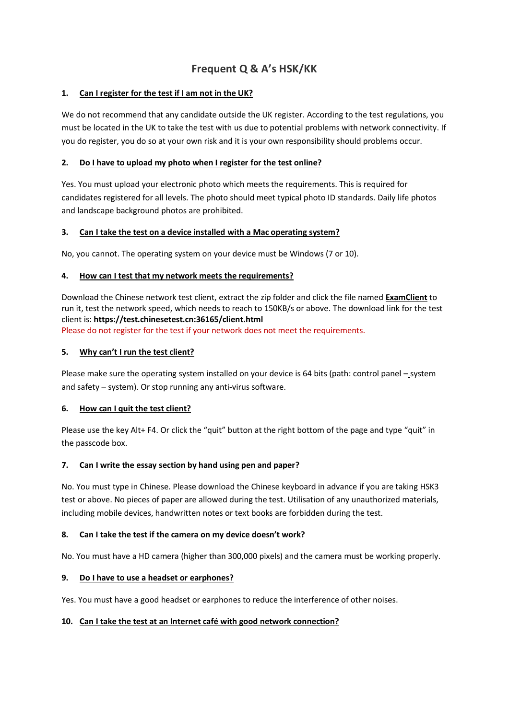# **Frequent Q & A's HSK/KK**

### **1. Can I register for the test if I am not in the UK?**

We do not recommend that any candidate outside the UK register. According to the test regulations, you must be located in the UK to take the test with us due to potential problems with network connectivity. If you do register, you do so at your own risk and it is your own responsibility should problems occur.

## **2. Do I have to upload my photo when I register for the test online?**

Yes. You must upload your electronic photo which meets the requirements. This is required for candidates registered for all levels. The photo should meet typical photo ID standards. Daily life photos and landscape background photos are prohibited.

#### **3. Can I take the test on a device installed with a Mac operating system?**

No, you cannot. The operating system on your device must be Windows (7 or 10).

#### **4. How can I test that my network meets the requirements?**

Download the Chinese network test client, extract the zip folder and click the file named **ExamClient** to run it, test the network speed, which needs to reach to 150KB/s or above. The download link for the test client is: **<https://test.chinesetest.cn:36165/client.html>** Please do not register for the test if your network does not meet the requirements.

#### **5. Why can't I run the test client?**

Please make sure the operating system installed on your device is 64 bits (path: control panel – system and safety – system). Or stop running any anti-virus software.

#### **6. How can I quit the test client?**

Please use the key Alt+ F4. Or click the "quit" button at the right bottom of the page and type "quit" in the passcode box.

#### **7. Can I write the essay section by hand using pen and paper?**

No. You must type in Chinese. Please download the Chinese keyboard in advance if you are taking HSK3 test or above. No pieces of paper are allowed during the test. Utilisation of any unauthorized materials, including mobile devices, handwritten notes or text books are forbidden during the test.

#### **8. Can I take the test if the camera on my device doesn't work?**

No. You must have a HD camera (higher than 300,000 pixels) and the camera must be working properly.

#### **9. Do I have to use a headset or earphones?**

Yes. You must have a good headset or earphones to reduce the interference of other noises.

## **10. Can I take the test at an Internet café with good network connection?**